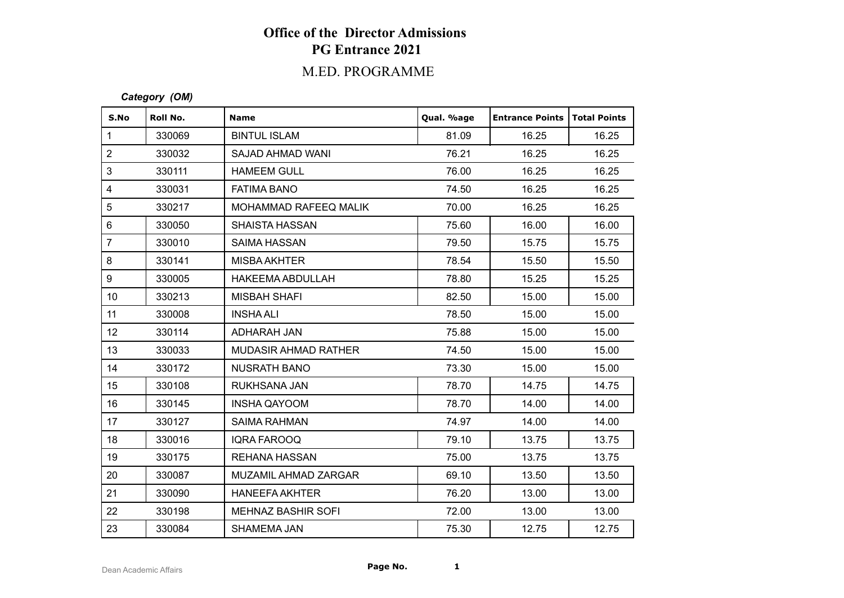# **Office of the Director Admissions PG Entrance 2021**

## M.ED. PROGRAMME

#### *Category (OM)*

| S.No            | Roll No. | <b>Name</b>                 | Qual. %age | <b>Entrance Points</b> | Total Points |
|-----------------|----------|-----------------------------|------------|------------------------|--------------|
| $\mathbf{1}$    | 330069   | <b>BINTUL ISLAM</b>         | 81.09      | 16.25                  | 16.25        |
| $\overline{2}$  | 330032   | SAJAD AHMAD WANI            | 76.21      | 16.25                  | 16.25        |
| 3               | 330111   | <b>HAMEEM GULL</b>          | 76.00      | 16.25                  | 16.25        |
| 4               | 330031   | <b>FATIMA BANO</b>          | 74.50      | 16.25                  | 16.25        |
| 5               | 330217   | MOHAMMAD RAFEEQ MALIK       | 70.00      | 16.25                  | 16.25        |
| 6               | 330050   | <b>SHAISTA HASSAN</b>       | 75.60      | 16.00                  | 16.00        |
| $\overline{7}$  | 330010   | <b>SAIMA HASSAN</b>         | 79.50      | 15.75                  | 15.75        |
| 8               | 330141   | MISBA AKHTER                | 78.54      | 15.50                  | 15.50        |
| 9               | 330005   | <b>HAKEEMA ABDULLAH</b>     | 78.80      | 15.25                  | 15.25        |
| 10 <sup>°</sup> | 330213   | <b>MISBAH SHAFI</b>         | 82.50      | 15.00                  | 15.00        |
| 11              | 330008   | <b>INSHA ALI</b>            | 78.50      | 15.00                  | 15.00        |
| 12 <sup>°</sup> | 330114   | ADHARAH JAN                 | 75.88      | 15.00                  | 15.00        |
| 13              | 330033   | <b>MUDASIR AHMAD RATHER</b> | 74.50      | 15.00                  | 15.00        |
| 14              | 330172   | <b>NUSRATH BANO</b>         | 73.30      | 15.00                  | 15.00        |
| 15              | 330108   | RUKHSANA JAN                | 78.70      | 14.75                  | 14.75        |
| 16              | 330145   | <b>INSHA QAYOOM</b>         | 78.70      | 14.00                  | 14.00        |
| 17              | 330127   | <b>SAIMA RAHMAN</b>         | 74.97      | 14.00                  | 14.00        |
| 18              | 330016   | <b>IQRA FAROOQ</b>          | 79.10      | 13.75                  | 13.75        |
| 19              | 330175   | <b>REHANA HASSAN</b>        | 75.00      | 13.75                  | 13.75        |
| 20              | 330087   | <b>MUZAMIL AHMAD ZARGAR</b> | 69.10      | 13.50                  | 13.50        |
| 21              | 330090   | <b>HANEEFA AKHTER</b>       | 76.20      | 13.00                  | 13.00        |
| 22              | 330198   | <b>MEHNAZ BASHIR SOFI</b>   | 72.00      | 13.00                  | 13.00        |
| 23              | 330084   | SHAMEMA JAN                 | 75.30      | 12.75                  | 12.75        |